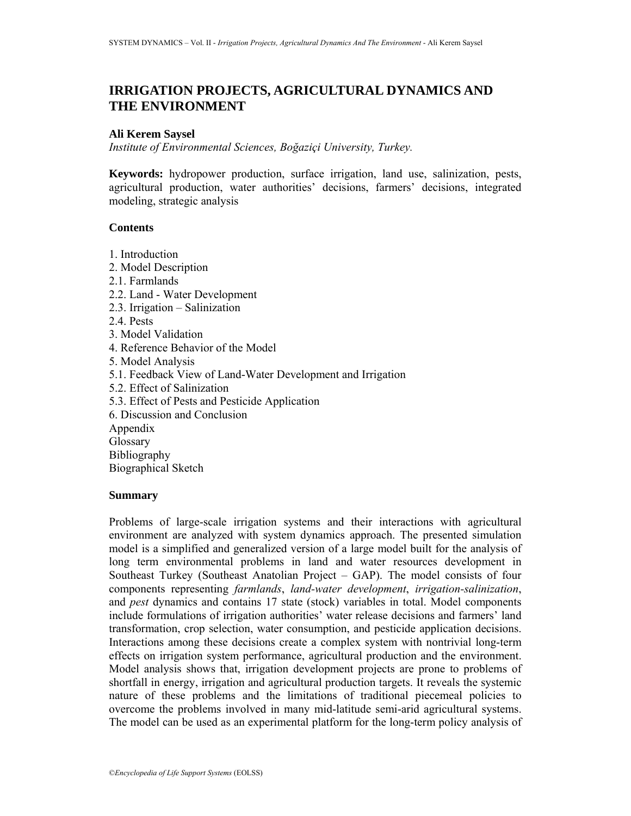# **IRRIGATION PROJECTS, AGRICULTURAL DYNAMICS AND THE ENVIRONMENT**

# **Ali Kerem Saysel**

*Institute of Environmental Sciences, Boğaziçi University, Turkey.* 

**Keywords:** hydropower production, surface irrigation, land use, salinization, pests, agricultural production, water authorities' decisions, farmers' decisions, integrated modeling, strategic analysis

# **Contents**

1. Introduction 2. Model Description 2.1. Farmlands 2.2. Land - Water Development 2.3. Irrigation – Salinization 2.4. Pests 3. Model Validation 4. Reference Behavior of the Model 5. Model Analysis 5.1. Feedback View of Land-Water Development and Irrigation 5.2. Effect of Salinization 5.3. Effect of Pests and Pesticide Application 6. Discussion and Conclusion Appendix **Glossary** Bibliography Biographical Sketch

#### **Summary**

Problems of large-scale irrigation systems and their interactions with agricultural environment are analyzed with system dynamics approach. The presented simulation model is a simplified and generalized version of a large model built for the analysis of long term environmental problems in land and water resources development in Southeast Turkey (Southeast Anatolian Project – GAP). The model consists of four components representing *farmlands*, *land-water development*, *irrigation-salinization*, and *pest* dynamics and contains 17 state (stock) variables in total. Model components include formulations of irrigation authorities' water release decisions and farmers' land transformation, crop selection, water consumption, and pesticide application decisions. Interactions among these decisions create a complex system with nontrivial long-term effects on irrigation system performance, agricultural production and the environment. Model analysis shows that, irrigation development projects are prone to problems of shortfall in energy, irrigation and agricultural production targets. It reveals the systemic nature of these problems and the limitations of traditional piecemeal policies to overcome the problems involved in many mid-latitude semi-arid agricultural systems. The model can be used as an experimental platform for the long-term policy analysis of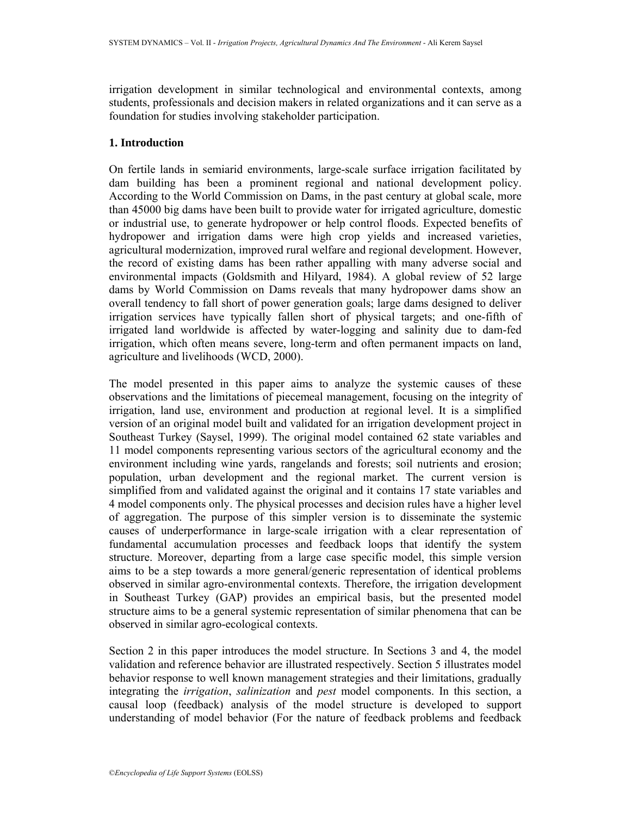irrigation development in similar technological and environmental contexts, among students, professionals and decision makers in related organizations and it can serve as a foundation for studies involving stakeholder participation.

# **1. Introduction**

On fertile lands in semiarid environments, large-scale surface irrigation facilitated by dam building has been a prominent regional and national development policy. According to the World Commission on Dams, in the past century at global scale, more than 45000 big dams have been built to provide water for irrigated agriculture, domestic or industrial use, to generate hydropower or help control floods. Expected benefits of hydropower and irrigation dams were high crop yields and increased varieties, agricultural modernization, improved rural welfare and regional development. However, the record of existing dams has been rather appalling with many adverse social and environmental impacts (Goldsmith and Hilyard, 1984). A global review of 52 large dams by World Commission on Dams reveals that many hydropower dams show an overall tendency to fall short of power generation goals; large dams designed to deliver irrigation services have typically fallen short of physical targets; and one-fifth of irrigated land worldwide is affected by water-logging and salinity due to dam-fed irrigation, which often means severe, long-term and often permanent impacts on land, agriculture and livelihoods (WCD, 2000).

The model presented in this paper aims to analyze the systemic causes of these observations and the limitations of piecemeal management, focusing on the integrity of irrigation, land use, environment and production at regional level. It is a simplified version of an original model built and validated for an irrigation development project in Southeast Turkey (Saysel, 1999). The original model contained 62 state variables and 11 model components representing various sectors of the agricultural economy and the environment including wine yards, rangelands and forests; soil nutrients and erosion; population, urban development and the regional market. The current version is simplified from and validated against the original and it contains 17 state variables and 4 model components only. The physical processes and decision rules have a higher level of aggregation. The purpose of this simpler version is to disseminate the systemic causes of underperformance in large-scale irrigation with a clear representation of fundamental accumulation processes and feedback loops that identify the system structure. Moreover, departing from a large case specific model, this simple version aims to be a step towards a more general/generic representation of identical problems observed in similar agro-environmental contexts. Therefore, the irrigation development in Southeast Turkey (GAP) provides an empirical basis, but the presented model structure aims to be a general systemic representation of similar phenomena that can be observed in similar agro-ecological contexts.

Section 2 in this paper introduces the model structure. In Sections 3 and 4, the model validation and reference behavior are illustrated respectively. Section 5 illustrates model behavior response to well known management strategies and their limitations, gradually integrating the *irrigation*, *salinization* and *pest* model components. In this section, a causal loop (feedback) analysis of the model structure is developed to support understanding of model behavior (For the nature of feedback problems and feedback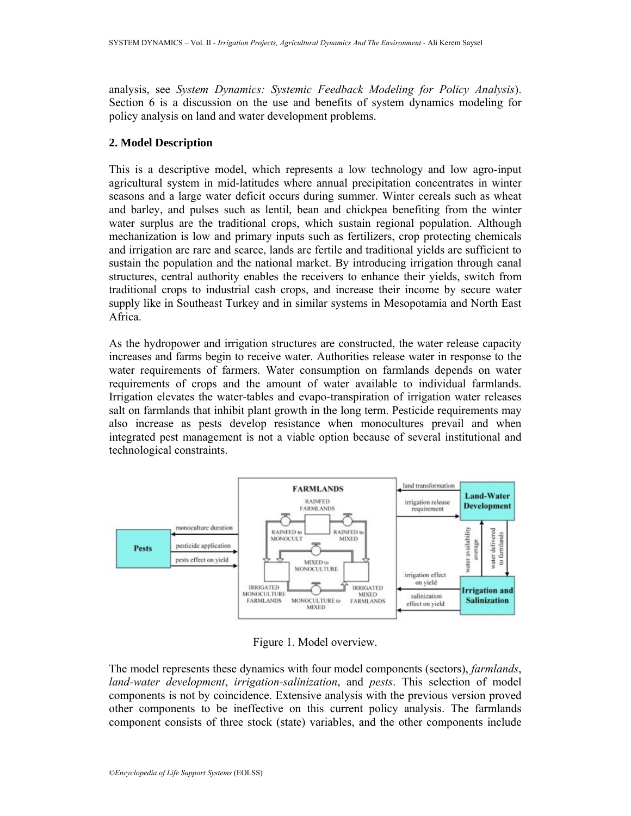analysis, see *System Dynamics: Systemic Feedback Modeling for Policy Analysis*). Section 6 is a discussion on the use and benefits of system dynamics modeling for policy analysis on land and water development problems.

# **2. Model Description**

This is a descriptive model, which represents a low technology and low agro-input agricultural system in mid-latitudes where annual precipitation concentrates in winter seasons and a large water deficit occurs during summer. Winter cereals such as wheat and barley, and pulses such as lentil, bean and chickpea benefiting from the winter water surplus are the traditional crops, which sustain regional population. Although mechanization is low and primary inputs such as fertilizers, crop protecting chemicals and irrigation are rare and scarce, lands are fertile and traditional yields are sufficient to sustain the population and the national market. By introducing irrigation through canal structures, central authority enables the receivers to enhance their yields, switch from traditional crops to industrial cash crops, and increase their income by secure water supply like in Southeast Turkey and in similar systems in Mesopotamia and North East Africa.

As the hydropower and irrigation structures are constructed, the water release capacity increases and farms begin to receive water. Authorities release water in response to the water requirements of farmers. Water consumption on farmlands depends on water requirements of crops and the amount of water available to individual farmlands. Irrigation elevates the water-tables and evapo-transpiration of irrigation water releases salt on farmlands that inhibit plant growth in the long term. Pesticide requirements may also increase as pests develop resistance when monocultures prevail and when integrated pest management is not a viable option because of several institutional and technological constraints.



Figure 1. Model overview.

The model represents these dynamics with four model components (sectors), *farmlands*, *land-water development*, *irrigation-salinization*, and *pests*. This selection of model components is not by coincidence. Extensive analysis with the previous version proved other components to be ineffective on this current policy analysis. The farmlands component consists of three stock (state) variables, and the other components include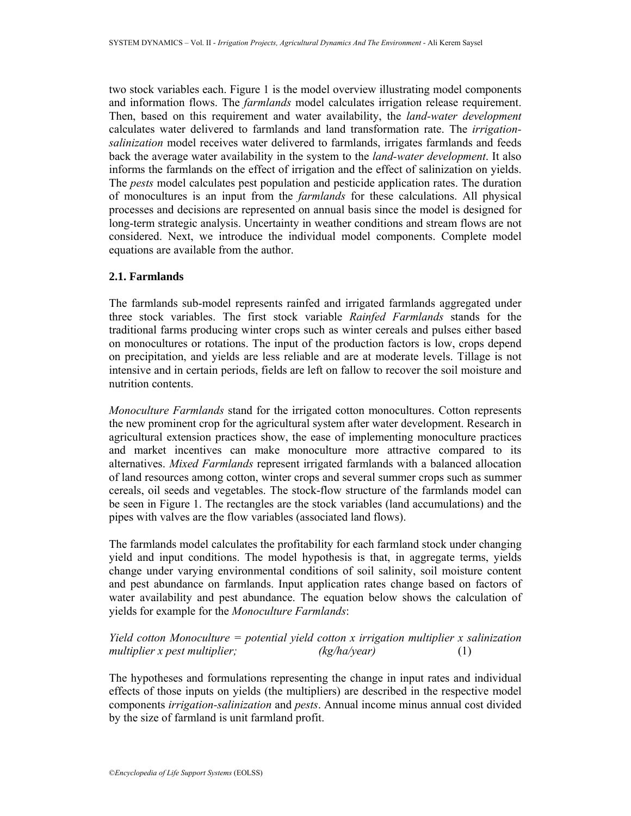two stock variables each. Figure 1 is the model overview illustrating model components and information flows. The *farmlands* model calculates irrigation release requirement. Then, based on this requirement and water availability, the *land-water development* calculates water delivered to farmlands and land transformation rate. The *irrigationsalinization* model receives water delivered to farmlands, irrigates farmlands and feeds back the average water availability in the system to the *land-water development*. It also informs the farmlands on the effect of irrigation and the effect of salinization on yields. The *pests* model calculates pest population and pesticide application rates. The duration of monocultures is an input from the *farmlands* for these calculations. All physical processes and decisions are represented on annual basis since the model is designed for long-term strategic analysis. Uncertainty in weather conditions and stream flows are not considered. Next, we introduce the individual model components. Complete model equations are available from the author.

# **2.1. Farmlands**

The farmlands sub-model represents rainfed and irrigated farmlands aggregated under three stock variables. The first stock variable *Rainfed Farmlands* stands for the traditional farms producing winter crops such as winter cereals and pulses either based on monocultures or rotations. The input of the production factors is low, crops depend on precipitation, and yields are less reliable and are at moderate levels. Tillage is not intensive and in certain periods, fields are left on fallow to recover the soil moisture and nutrition contents.

*Monoculture Farmlands* stand for the irrigated cotton monocultures. Cotton represents the new prominent crop for the agricultural system after water development. Research in agricultural extension practices show, the ease of implementing monoculture practices and market incentives can make monoculture more attractive compared to its alternatives. *Mixed Farmlands* represent irrigated farmlands with a balanced allocation of land resources among cotton, winter crops and several summer crops such as summer cereals, oil seeds and vegetables. The stock-flow structure of the farmlands model can be seen in Figure 1. The rectangles are the stock variables (land accumulations) and the pipes with valves are the flow variables (associated land flows).

The farmlands model calculates the profitability for each farmland stock under changing yield and input conditions. The model hypothesis is that, in aggregate terms, yields change under varying environmental conditions of soil salinity, soil moisture content and pest abundance on farmlands. Input application rates change based on factors of water availability and pest abundance. The equation below shows the calculation of yields for example for the *Monoculture Farmlands*:

# *Yield cotton Monoculture = potential yield cotton x irrigation multiplier x salinization multiplier x pest multiplier; (kg/ha/year)* (1)

The hypotheses and formulations representing the change in input rates and individual effects of those inputs on yields (the multipliers) are described in the respective model components *irrigation-salinization* and *pests*. Annual income minus annual cost divided by the size of farmland is unit farmland profit.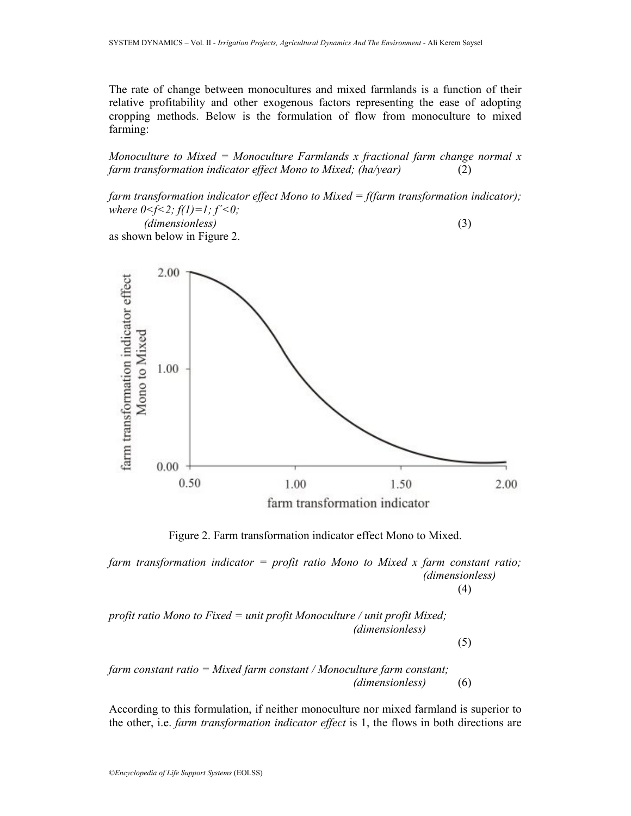The rate of change between monocultures and mixed farmlands is a function of their relative profitability and other exogenous factors representing the ease of adopting cropping methods. Below is the formulation of flow from monoculture to mixed farming:

*Monoculture to Mixed = Monoculture Farmlands x fractional farm change normal x farm transformation indicator effect Mono to Mixed; (ha/year)* (2)

*farm transformation indicator effect Mono to Mixed = f(farm transformation indicator); where*  $0 \leq f \leq 2$ *;*  $f(1)=1$ *;*  $f' \leq 0$ *;* 

 *(dimensionless)* (3) as shown below in Figure 2.



Figure 2. Farm transformation indicator effect Mono to Mixed.

*farm transformation indicator = profit ratio Mono to Mixed x farm constant ratio; (dimensionless)*  $\left(4\right)$ 

*profit ratio Mono to Fixed = unit profit Monoculture / unit profit Mixed; (dimensionless)* (5)

*farm constant ratio = Mixed farm constant / Monoculture farm constant; (dimensionless)* (6)

According to this formulation, if neither monoculture nor mixed farmland is superior to the other, i.e. *farm transformation indicator effect* is 1, the flows in both directions are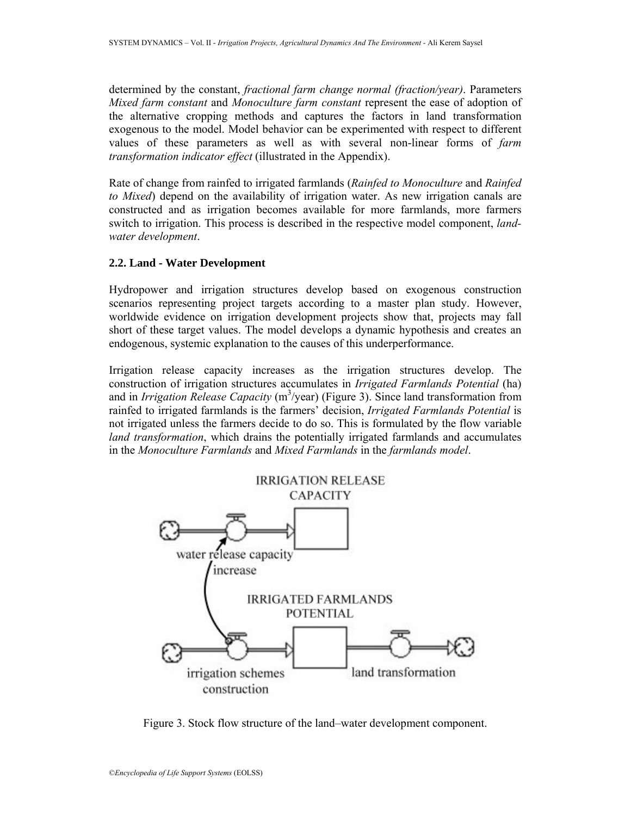determined by the constant, *fractional farm change normal (fraction/year)*. Parameters *Mixed farm constant* and *Monoculture farm constant* represent the ease of adoption of the alternative cropping methods and captures the factors in land transformation exogenous to the model. Model behavior can be experimented with respect to different values of these parameters as well as with several non-linear forms of *farm transformation indicator effect* (illustrated in the Appendix).

Rate of change from rainfed to irrigated farmlands (*Rainfed to Monoculture* and *Rainfed to Mixed*) depend on the availability of irrigation water. As new irrigation canals are constructed and as irrigation becomes available for more farmlands, more farmers switch to irrigation. This process is described in the respective model component, *landwater development*.

# **2.2. Land - Water Development**

Hydropower and irrigation structures develop based on exogenous construction scenarios representing project targets according to a master plan study. However, worldwide evidence on irrigation development projects show that, projects may fall short of these target values. The model develops a dynamic hypothesis and creates an endogenous, systemic explanation to the causes of this underperformance.

Irrigation release capacity increases as the irrigation structures develop. The construction of irrigation structures accumulates in *Irrigated Farmlands Potential* (ha) and in *Irrigation Release Capacity* (m<sup>3</sup>/year) (Figure 3). Since land transformation from rainfed to irrigated farmlands is the farmers' decision, *Irrigated Farmlands Potential* is not irrigated unless the farmers decide to do so. This is formulated by the flow variable *land transformation*, which drains the potentially irrigated farmlands and accumulates in the *Monoculture Farmlands* and *Mixed Farmlands* in the *farmlands model*.



Figure 3. Stock flow structure of the land–water development component.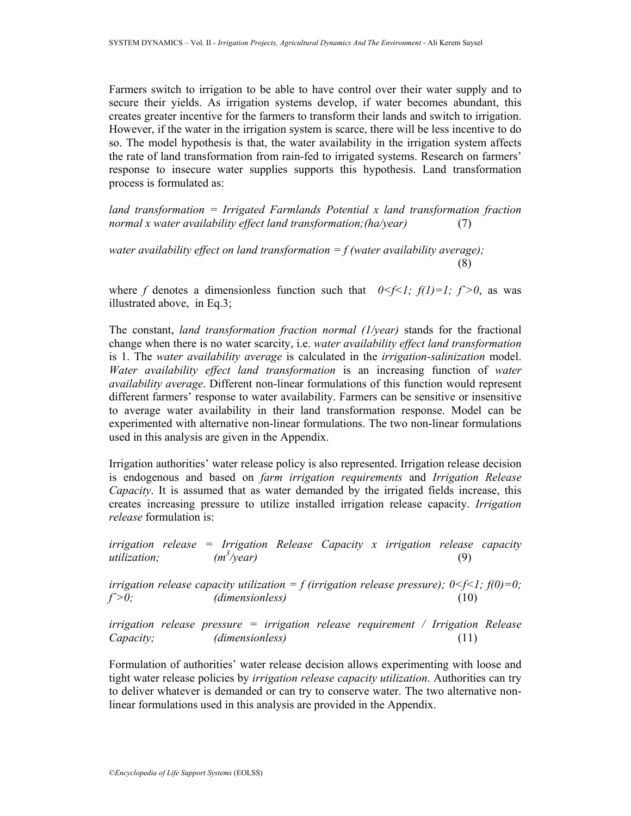Farmers switch to irrigation to be able to have control over their water supply and to secure their yields. As irrigation systems develop, if water becomes abundant, this creates greater incentive for the farmers to transform their lands and switch to irrigation. However, if the water in the irrigation system is scarce, there will be less incentive to do so. The model hypothesis is that, the water availability in the irrigation system affects the rate of land transformation from rain-fed to irrigated systems. Research on farmers' response to insecure water supplies supports this hypothesis. Land transformation process is formulated as:

*land transformation = Irrigated Farmlands Potential x land transformation fraction normal x water availability effect land transformation;(ha/year)* (7)

*water availability effect on land transformation = f (water availability average);*  (8)

where f denotes a dimensionless function such that  $0 \le f \le 1$ ;  $f(1)=1$ ;  $f' \ge 0$ , as was illustrated above, in Eq.3;

The constant, *land transformation fraction normal (1/year)* stands for the fractional change when there is no water scarcity, i.e. *water availability effect land transformation* is 1. The *water availability average* is calculated in the *irrigation-salinization* model. *Water availability effect land transformation* is an increasing function of *water availability average*. Different non-linear formulations of this function would represent different farmers' response to water availability. Farmers can be sensitive or insensitive to average water availability in their land transformation response. Model can be experimented with alternative non-linear formulations. The two non-linear formulations used in this analysis are given in the Appendix.

Irrigation authorities' water release policy is also represented. Irrigation release decision is endogenous and based on *farm irrigation requirements* and *Irrigation Release Capacity*. It is assumed that as water demanded by the irrigated fields increase, this creates increasing pressure to utilize installed irrigation release capacity. *Irrigation release* formulation is:

*irrigation release = Irrigation Release Capacity x irrigation release capacity*   $utilization$ *:*  $(m^3/\text{year})$  (9)

*irrigation release capacity utilization = f (irrigation release pressure);*  $0 \le f \le 1$ *;*  $f(0)=0$ *; f´>0; (dimensionless)* (10)

*irrigation release pressure = irrigation release requirement / Irrigation Release Capacity; (dimensionless)* (11)

Formulation of authorities' water release decision allows experimenting with loose and tight water release policies by *irrigation release capacity utilization*. Authorities can try to deliver whatever is demanded or can try to conserve water. The two alternative nonlinear formulations used in this analysis are provided in the Appendix.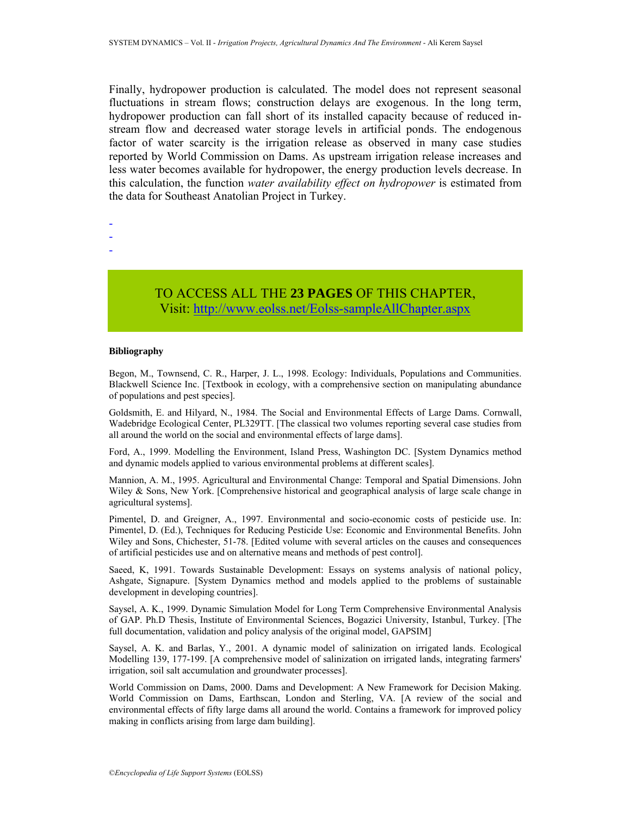Finally, hydropower production is calculated. The model does not represent seasonal fluctuations in stream flows; construction delays are exogenous. In the long term, hydropower production can fall short of its installed capacity because of reduced instream flow and decreased water storage levels in artificial ponds. The endogenous factor of water scarcity is the irrigation release as observed in many case studies reported by World Commission on Dams. As upstream irrigation release increases and less water becomes available for hydropower, the energy production levels decrease. In this calculation, the function *water availability effect on hydropower* is estimated from the data for Southeast Anatolian Project in Turkey.

- -
- -
- -

TO ACCESS ALL THE **23 PAGES** OF THIS CHAPTER, Visit: [http://www.eolss.net/Eolss-sampleAllCh](https://www.eolss.net/ebooklib/sc_cart.aspx?File=E6-63-06-04)apter.aspx

#### **Bibliography**

Begon, M., Townsend, C. R., Harper, J. L., 1998. Ecology: Individuals, Populations and Communities. Blackwell Science Inc. [Textbook in ecology, with a comprehensive section on manipulating abundance of populations and pest species].

Goldsmith, E. and Hilyard, N., 1984. The Social and Environmental Effects of Large Dams. Cornwall, Wadebridge Ecological Center, PL329TT. [The classical two volumes reporting several case studies from all around the world on the social and environmental effects of large dams].

Ford, A., 1999. Modelling the Environment, Island Press, Washington DC. [System Dynamics method and dynamic models applied to various environmental problems at different scales].

Mannion, A. M., 1995. Agricultural and Environmental Change: Temporal and Spatial Dimensions. John Wiley & Sons, New York. [Comprehensive historical and geographical analysis of large scale change in agricultural systems].

Pimentel, D. and Greigner, A., 1997. Environmental and socio-economic costs of pesticide use. In: Pimentel, D. (Ed.), Techniques for Reducing Pesticide Use: Economic and Environmental Benefits. John Wiley and Sons, Chichester, 51-78. [Edited volume with several articles on the causes and consequences of artificial pesticides use and on alternative means and methods of pest control].

Saeed, K, 1991. Towards Sustainable Development: Essays on systems analysis of national policy, Ashgate, Signapure. [System Dynamics method and models applied to the problems of sustainable development in developing countries].

Saysel, A. K., 1999. Dynamic Simulation Model for Long Term Comprehensive Environmental Analysis of GAP. Ph.D Thesis, Institute of Environmental Sciences, Bogazici University, Istanbul, Turkey. [The full documentation, validation and policy analysis of the original model, GAPSIM]

Saysel, A. K. and Barlas, Y., 2001. A dynamic model of salinization on irrigated lands. Ecological Modelling 139, 177-199. [A comprehensive model of salinization on irrigated lands, integrating farmers' irrigation, soil salt accumulation and groundwater processes].

World Commission on Dams, 2000. Dams and Development: A New Framework for Decision Making. World Commission on Dams, Earthscan, London and Sterling, VA. [A review of the social and environmental effects of fifty large dams all around the world. Contains a framework for improved policy making in conflicts arising from large dam building].